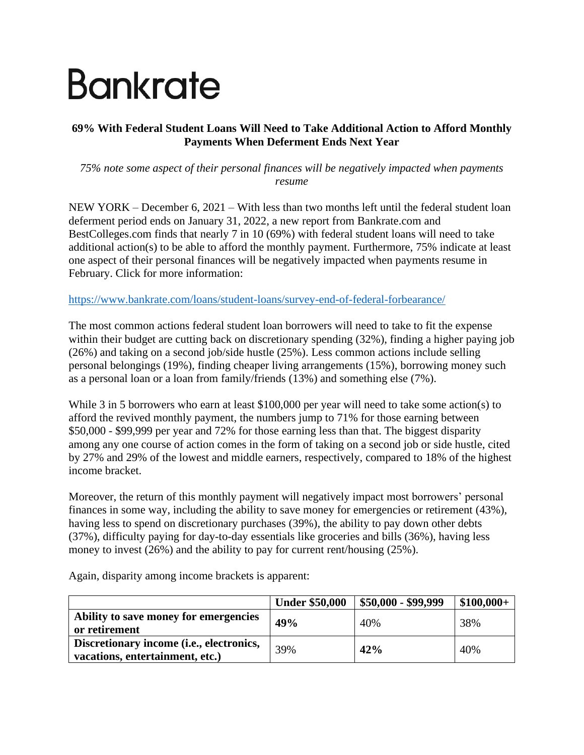# Bankrate

## **69% With Federal Student Loans Will Need to Take Additional Action to Afford Monthly Payments When Deferment Ends Next Year**

*75% note some aspect of their personal finances will be negatively impacted when payments resume*

NEW YORK – December 6, 2021 – With less than two months left until the federal student loan deferment period ends on January 31, 2022, a new report from Bankrate.com and BestColleges.com finds that nearly 7 in 10 (69%) with federal student loans will need to take additional action(s) to be able to afford the monthly payment. Furthermore, 75% indicate at least one aspect of their personal finances will be negatively impacted when payments resume in February. Click for more information:

<https://www.bankrate.com/loans/student-loans/survey-end-of-federal-forbearance/>

The most common actions federal student loan borrowers will need to take to fit the expense within their budget are cutting back on discretionary spending (32%), finding a higher paying job (26%) and taking on a second job/side hustle (25%). Less common actions include selling personal belongings (19%), finding cheaper living arrangements (15%), borrowing money such as a personal loan or a loan from family/friends (13%) and something else (7%).

While 3 in 5 borrowers who earn at least \$100,000 per year will need to take some action(s) to afford the revived monthly payment, the numbers jump to 71% for those earning between \$50,000 - \$99,999 per year and 72% for those earning less than that. The biggest disparity among any one course of action comes in the form of taking on a second job or side hustle, cited by 27% and 29% of the lowest and middle earners, respectively, compared to 18% of the highest income bracket.

Moreover, the return of this monthly payment will negatively impact most borrowers' personal finances in some way, including the ability to save money for emergencies or retirement (43%), having less to spend on discretionary purchases (39%), the ability to pay down other debts (37%), difficulty paying for day-to-day essentials like groceries and bills (36%), having less money to invest (26%) and the ability to pay for current rent/housing (25%).

|                                                                             | <b>Under \$50,000</b> | $$50,000 - $99,999$ | $$100,000+$ |
|-----------------------------------------------------------------------------|-----------------------|---------------------|-------------|
| Ability to save money for emergencies<br>or retirement                      | 49%                   | 40%                 | 38%         |
| Discretionary income (i.e., electronics,<br>vacations, entertainment, etc.) | 39%                   | 42%                 | 40%         |

Again, disparity among income brackets is apparent: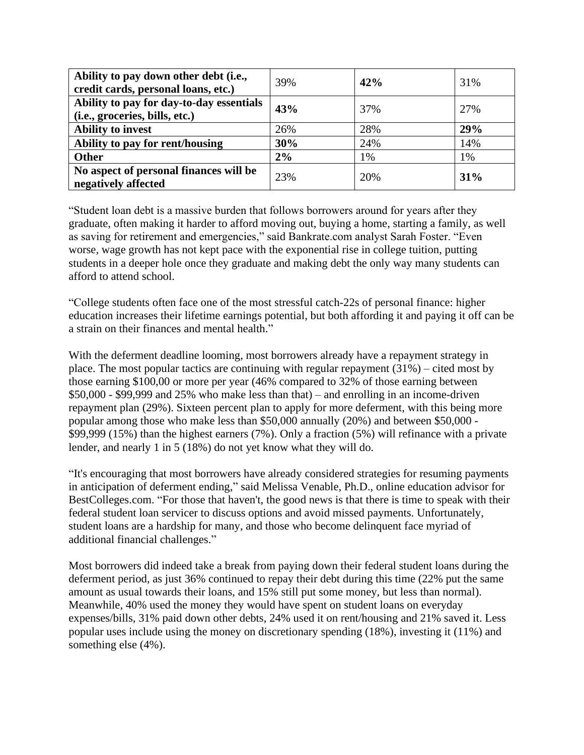| Ability to pay down other debt (i.e.,<br>credit cards, personal loans, etc.) | 39% | 42% | 31% |
|------------------------------------------------------------------------------|-----|-----|-----|
| Ability to pay for day-to-day essentials<br>(i.e., groceries, bills, etc.)   | 43% | 37% | 27% |
| <b>Ability to invest</b>                                                     | 26% | 28% | 29% |
| Ability to pay for rent/housing                                              | 30% | 24% | 14% |
| <b>Other</b>                                                                 | 2%  | 1%  | 1%  |
| No aspect of personal finances will be<br>negatively affected                | 23% | 20% | 31% |

"Student loan debt is a massive burden that follows borrowers around for years after they graduate, often making it harder to afford moving out, buying a home, starting a family, as well as saving for retirement and emergencies," said Bankrate.com analyst Sarah Foster. "Even worse, wage growth has not kept pace with the exponential rise in college tuition, putting students in a deeper hole once they graduate and making debt the only way many students can afford to attend school.

"College students often face one of the most stressful catch-22s of personal finance: higher education increases their lifetime earnings potential, but both affording it and paying it off can be a strain on their finances and mental health."

With the deferment deadline looming, most borrowers already have a repayment strategy in place. The most popular tactics are continuing with regular repayment (31%) – cited most by those earning \$100,00 or more per year (46% compared to 32% of those earning between \$50,000 - \$99,999 and 25% who make less than that) – and enrolling in an income-driven repayment plan (29%). Sixteen percent plan to apply for more deferment, with this being more popular among those who make less than \$50,000 annually (20%) and between \$50,000 - \$99,999 (15%) than the highest earners (7%). Only a fraction (5%) will refinance with a private lender, and nearly 1 in 5 (18%) do not yet know what they will do.

"It's encouraging that most borrowers have already considered strategies for resuming payments in anticipation of deferment ending," said Melissa Venable, Ph.D., online education advisor for BestColleges.com. "For those that haven't, the good news is that there is time to speak with their federal student loan servicer to discuss options and avoid missed payments. Unfortunately, student loans are a hardship for many, and those who become delinquent face myriad of additional financial challenges."

Most borrowers did indeed take a break from paying down their federal student loans during the deferment period, as just 36% continued to repay their debt during this time (22% put the same amount as usual towards their loans, and 15% still put some money, but less than normal). Meanwhile, 40% used the money they would have spent on student loans on everyday expenses/bills, 31% paid down other debts, 24% used it on rent/housing and 21% saved it. Less popular uses include using the money on discretionary spending (18%), investing it (11%) and something else (4%).